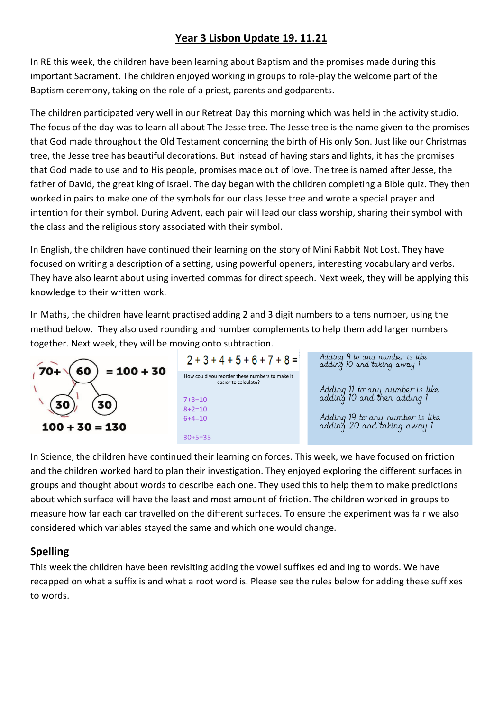# **Year 3 Lisbon Update 19. 11.21**

In RE this week, the children have been learning about Baptism and the promises made during this important Sacrament. The children enjoyed working in groups to role-play the welcome part of the Baptism ceremony, taking on the role of a priest, parents and godparents.

The children participated very well in our Retreat Day this morning which was held in the activity studio. The focus of the day was to learn all about The Jesse tree. The Jesse tree is the name given to the promises that God made throughout the Old Testament concerning the birth of His only Son. Just like our Christmas tree, the Jesse tree has beautiful decorations. But instead of having stars and lights, it has the promises that God made to use and to His people, promises made out of love. The tree is named after Jesse, the father of David, the great king of Israel. The day began with the children completing a Bible quiz. They then worked in pairs to make one of the symbols for our class Jesse tree and wrote a special prayer and intention for their symbol. During Advent, each pair will lead our class worship, sharing their symbol with the class and the religious story associated with their symbol.

In English, the children have continued their learning on the story of Mini Rabbit Not Lost. They have focused on writing a description of a setting, using powerful openers, interesting vocabulary and verbs. They have also learnt about using inverted commas for direct speech. Next week, they will be applying this knowledge to their written work.

In Maths, the children have learnt practised adding 2 and 3 digit numbers to a tens number, using the method below. They also used rounding and number complements to help them add larger numbers together. Next week, they will be moving onto subtraction.





Adding 9 to any number is like<br>adding 10 and taking away 1

Adding 11 to any number is like adding 10 and then adding 1

Adding 19 to any number is like adding 20 and taking away 1

In Science, the children have continued their learning on forces. This week, we have focused on friction and the children worked hard to plan their investigation. They enjoyed exploring the different surfaces in groups and thought about words to describe each one. They used this to help them to make predictions about which surface will have the least and most amount of friction. The children worked in groups to measure how far each car travelled on the different surfaces. To ensure the experiment was fair we also considered which variables stayed the same and which one would change.

# **Spelling**

This week the children have been revisiting adding the vowel suffixes ed and ing to words. We have recapped on what a suffix is and what a root word is. Please see the rules below for adding these suffixes to words.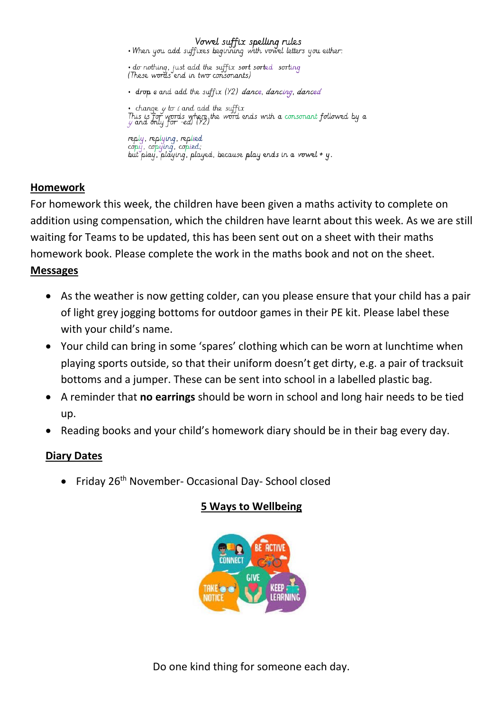Vowel suffix spelling rules<br>When you add suffixes beginning with vowel letters you either:

• do nothing, just add the suffix sort sorted sorting<br>(These words end in two consonants)

· drop e and add the suffix (Y2) dance, dancing, danced

• change  $y$  to  $i$  and add the suffix - Guinge y w i and dad the say is<br>This is for words where the word ends with a consonant followed by a<br>y and only for -ea) (Y2)

reply, replying, replied<br>copy, copying, copied; but play, playing, played, because play ends in a vowel + y.

### **Homework**

For homework this week, the children have been given a maths activity to complete on addition using compensation, which the children have learnt about this week. As we are still waiting for Teams to be updated, this has been sent out on a sheet with their maths homework book. Please complete the work in the maths book and not on the sheet.

### **Messages**

- As the weather is now getting colder, can you please ensure that your child has a pair of light grey jogging bottoms for outdoor games in their PE kit. Please label these with your child's name.
- Your child can bring in some 'spares' clothing which can be worn at lunchtime when playing sports outside, so that their uniform doesn't get dirty, e.g. a pair of tracksuit bottoms and a jumper. These can be sent into school in a labelled plastic bag.
- A reminder that **no earrings** should be worn in school and long hair needs to be tied up.
- Reading books and your child's homework diary should be in their bag every day.

# **Diary Dates**

• Friday 26<sup>th</sup> November- Occasional Day- School closed

# **5 Ways to Wellbeing**



Do one kind thing for someone each day.